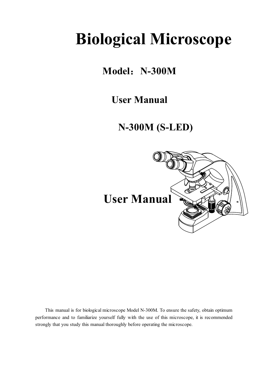# **Biological Microscope**

## **Model**:**N-300M**

## **User Manual**

## **N-300M (S-LED)**



This manual is for biological microscope Model N-300M. To ensure the safety, obtain optimum performance and to familiarize yourself fully with the use of this microscope, it is recommended strongly that you study this manual thoroughly before operating the microscope.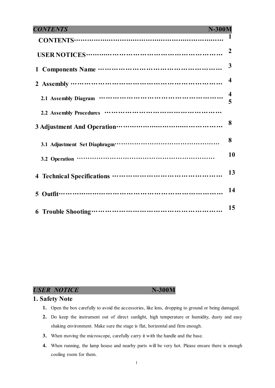| <b>CONTENTS</b>                                  | <b>N-300M</b> |                         |
|--------------------------------------------------|---------------|-------------------------|
|                                                  |               |                         |
| USER NOTICES………………………………………………………                |               | $\overline{2}$          |
|                                                  |               | 3                       |
| 2 Assembly …………………………………………………………                |               | $\overline{\mathbf{4}}$ |
|                                                  |               | $\boldsymbol{4}$        |
| 2.2 Assembly Procedures ………………………………………………       |               |                         |
|                                                  |               | 8                       |
|                                                  |               | 8                       |
|                                                  |               | 10                      |
|                                                  |               | 13                      |
| Outfit………………………………………………………………<br>$\overline{5}$ |               | 14                      |
|                                                  |               | 15                      |

**USER NOTICE** N-300M

#### **1. Safety Note**

- **1.** Open the box carefully to avoid the accessories, like lens, dropping to ground or being damaged.
- **2.** Do keep the instrument out of direct sunlight, high temperature or humidity, dusty and easy shaking environment. Make sure the stage is flat, horizontal and firm enough.
- **3.** When moving the microscope, carefully carry it with the handle and the base.
- **4.** When running, the lamp house and nearby parts will be very hot. Please ensure there is enough cooling room for them.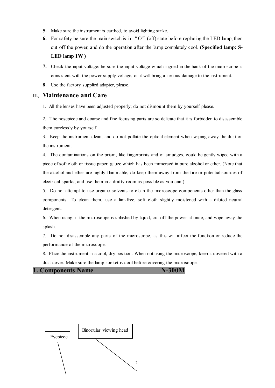- **5.** Make sure the instrument is earthed, to avoid lighting strike.
- **6.** For safety, be sure the main switch is in "O"(off) state before replacing the LED lamp, then cut off the power, and do the operation after the lamp completely cool. **(Specified lamp: S-LED lamp 1W )**
- **7.** Check the input voltage: be sure the input voltage which signed in the back of the microscope is consistent with the power supply voltage, or it will bring a serious damage to the instrument.
- **8.** Use the factory supplied adapter, please.

#### **II**、**Maintenance and Care**

1. All the lenses have been adjusted properly; do not dismount them by yourself please.

2. The nosepiece and coarse and fine focusing parts are so delicate that it is forbidden to disassemble them carelessly by yourself.

3. Keep the instrument clean, and do not pollute the optical element when wiping away the dust on the instrument.

4. The contaminations on the prism, like fingerprints and oil smudges, could be gently wiped with a piece of soft cloth or tissue paper, gauze which has been immersed in pure alcohol or ether. (Note that the alcohol and ether are highly flammable, do keep them away from the fire or potential sources of electrical sparks, and use them in a drafty room as possible as you can.)

5. Do not attempt to use organic solvents to clean the microscope components other than the glass components. To clean them, use a lint-free, soft cloth slightly moistened with a diluted neutral detergent.

6. When using, if the microscope is splashed by liquid, cut off the power at once, and wipe away the splash.

7. Do not disassemble any parts of the microscope, as this will affect the function or reduce the performance of the microscope.

8. Place the instrument in a cool, dry position. When not using the microscope, keep it covered with a dust cover. Make sure the lamp socket is cool before covering the microscope.

**1. Components Name N-300M** 

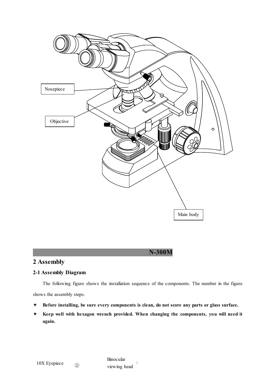

### **2 Assembly**

#### **2-1 Assembly Diagram**

The following figure shows the installation sequence of the components. The number in the figure shows the assembly steps.

 **N-300M**

- **Before installing, be sure every components is clean, do not score any parts or glass surface.**
- **Keep well with hexagon wrench provided. When changing the components, you will need it again.**

3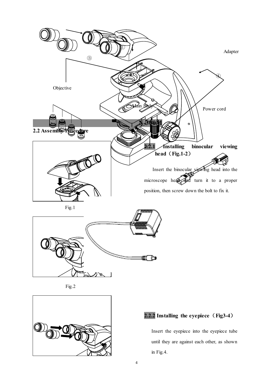



### **2.2.2 Installing the eyepiece**(**Fig3-4**)

Insert the eyepiece into the eyepiece tube until they are against each other, as shown in Fig.4.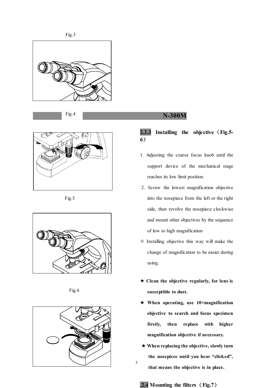

Fig.4



Fig.5



Fig.6



#### **N-300M**

#### **2.2.3 Installing the objective**(**Fig.5- 6**)

- 1. Adjusting the coarse focus knob until the support device of the mechanical stage reaches its low limit position.
- 2. Screw the lowest magnification objective into the nosepiece from the left or the right side, then revolve the nosepiece clockwise and mount other objectives by the sequence of low to high magnification
- $\Diamond$  Installing objective this way will make the change of magnification to be easier during using.
- **Clean the objective regularly, for lens is susceptible to dust.**
- **When operating, use 10×magnification objective to search and focus specimen firstly, then replace with higher magnification objective if necessary.**
- **When replacing the objective, slowly turn the nosepiece until you hear "clicked", that means the objective is in place.**
- **.2.4 Mounting the filters**(**Fig.7**)

5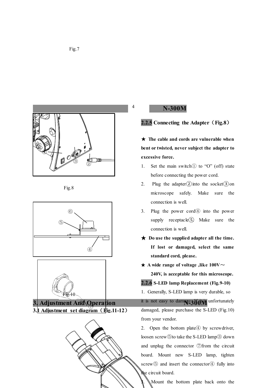







**3. 1 Adjustment set diagram** (**Fig.11-12**)



6

 **N-300M**

4

**2.2.5 Connecting the Adapter**(**Fig.8**)

★ **The cable and cords are vulnerable when bent or twisted, never subject the adapter to excessive force.**

- 1. Set the main switch $\overline{1}$  to "O" (off) state before connecting the power cord.
- 2. Plug the adapter $(2)$  into the socket $(3)$  on microscope safely. Make sure the connection is well.
- 3. Plug the power cord④ into the power supply receptacle $(5)$  Make sure the connection is well.
- ★ **Do use the supplied adapter all the time. If lost or damaged, select the same standard cord, please.**

**★** A wide range of voltage ,like 100V $\sim$ 

**240V, is acceptable for this microscope. 2.2.6 S-LED lamp Replacement (Fig.9-10)** 1. Generally, S-LED lamp is very durable, so it is not easy to damage a links unfortunately damaged, please purchase the S-LED (Fig.10) from your vendor.

2. Open the bottom plate 4 by screwdriver, loosen screw⑤to take the S-LED lamp③ down and unplug the connector ⑦from the circuit board. Mount new S-LED lamp, tighten screw<sup>⑤</sup> and insert the connector<sup>4</sup> fully into the circuit board.

Mount the bottom plate back onto the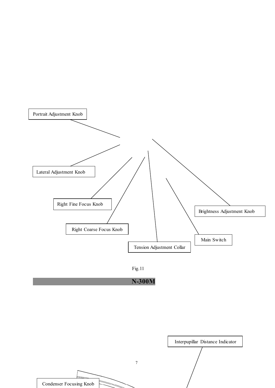





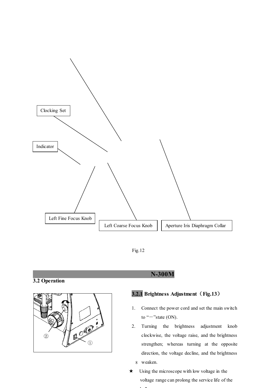

Fig.12

#### **3.2 Operation**



#### **N-300M**

#### **3.2.1 Brightness Adjustment**(**Fig.13**)

- 1. Connect the power cord and set the main switch to " $-$ "state (ON).
- 8 weaken. 2. Turning the brightness adjustment knob clockwise, the voltage raise, and the brightness strengthen; whereas turning at the opposite direction, the voltage decline, and the brightness
- $\star$  Using the microscope with low voltage in the voltage range can prolong the service life of the . .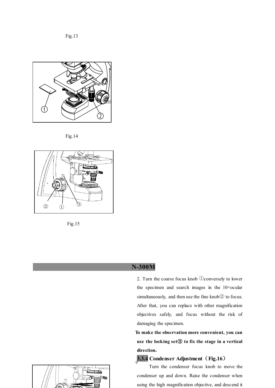Fig.13



Fig.14





#### **N-300M**

2. Turn the coarse focus knob ①conversely to lower the specimen and search images in the 10×ocular simultaneously, and then use the fine knob② to focus. After that, you can replace with other magnification objectives safely, and focus without the risk of damaging the specimen.

 **To make the observation more convenient, you can use the locking set**③ **to fix the stage in a vertical direction.**

### 9 **3.3.4 Condenser Adjustment**(**Fig.16**)

Turn the condenser focus knob to move the condenser up and down. Raise the condenser when using the high magnification objective, and descend it

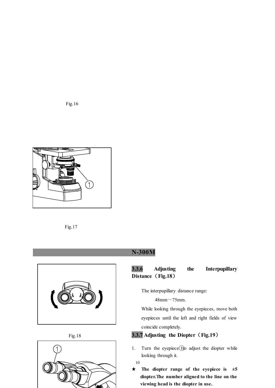Fig.16







Fig.18



### **N-300M**

### **3.3.6 Adjusting the Interpupillary Distance**(**Fig.18**)

The interpupillary distance range:

48mm~75mm.

While looking through the eyepieces, move both eyepieces until the left and right fields of view coincide completely.

#### **3.3.7 Adjusting the Diopter**(**Fig.19**)

1. Turn the eyepiece(Ito adjust the diopter while looking through it.

10

★ **The diopter range of the eyepiece is ±5 diopter.The number aligned to the line on the viewing head is the diopter in use.**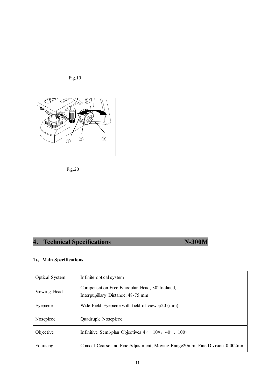



Fig.20

## **4**.**Technical Specifications N-300M**

#### **1)**、**Main Specifications**

| <b>Optical System</b> | Infinite optical system                                                               |
|-----------------------|---------------------------------------------------------------------------------------|
| Viewing Head          | Compensation Free Binocular Head, 30° Inclined,<br>Interpupillary Distance: 48-75 mm  |
| Eyepiece              | Wide Field Eyepiece with field of view $\varphi$ 20 (mm)                              |
| Nosepiece             | Quadruple Nosepiece                                                                   |
| Objective             | Infinitive Semi-plan Objectives $4 \times$ , $10 \times$ , $40 \times$ , $100 \times$ |
| Focusing              | Coaxial Coarse and Fine Adjustment, Moving Range20mm, Fine Division 0.002mm           |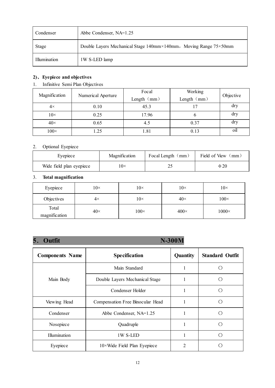| Condenser    | Abbe Condenser, NA=1.25                                          |
|--------------|------------------------------------------------------------------|
| <b>Stage</b> | Double Layers Mechanical Stage 140mm×140mm, Moving Range 75×50mm |
| Illumination | 1W S-LED lamp                                                    |

#### **2)**、**Eyepiece and objectives**

#### 1. Infinitive Semi Plan Objectives

| Magnification |                                     | Focal       | Working   |     |
|---------------|-------------------------------------|-------------|-----------|-----|
|               | Numerical Aperture<br>Length $(mm)$ | Length (mm) | Objective |     |
| $4\times$     | 0.10                                | 45.3        |           | dry |
| $10\times$    | 0.25                                | 17.96       | n         | dry |
| $40\times$    | 0.65                                | 4.5         | 0.37      | dry |
| $100\times$   | $\cdot$ 25                          | 1.81        | 0.13      | oil |

#### 2. Optional Eyepiece

| Eyepiece                 | Magnification | Focal Length (mm) | Field of View<br>(mm) |
|--------------------------|---------------|-------------------|-----------------------|
| Wide field plan eyepiece | $10\times$    |                   | $\Phi 20$             |

#### 3. **Total magnification**

| Eyepiece               | $10\times$ | $10\times$  | $10\times$  | $10\times$   |
|------------------------|------------|-------------|-------------|--------------|
| Objectives             | $4\times$  | $10\times$  | $40\times$  | $100\times$  |
| Total<br>magnification | $40\times$ | $100\times$ | $400\times$ | $1000\times$ |

### **5**. Outfit **N-300M**

| <b>Components Name</b> | <b>Specification</b>                      | <b>Quantity</b> | <b>Standard Outfit</b> |
|------------------------|-------------------------------------------|-----------------|------------------------|
|                        | Main Standard                             |                 |                        |
| Main Body              | Double Layers Mechanical Stage            |                 |                        |
|                        | Condenser Holder                          |                 |                        |
| Viewing Head           | Compensation Free Binocular Head          |                 | ◯                      |
| Condenser              | Abbe Condenser, NA=1.25                   |                 | ⊂                      |
| Nosepiece              | Quadruple                                 |                 |                        |
| Illumination           | 1W S-LED                                  |                 |                        |
| Eyepiece               | $10 \times$ Wide Field Plan Eyepiece<br>2 |                 |                        |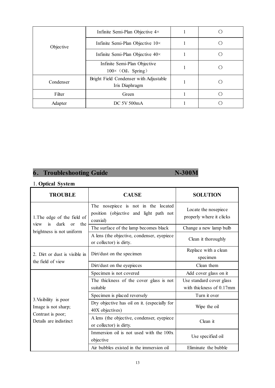|           | Infinite Semi-Plan Objective $4 \times$                    |  |
|-----------|------------------------------------------------------------|--|
| Objective | Infinite Semi-Plan Objective $10 \times$                   |  |
|           | Infinite Semi-Plan Objective $40\times$                    |  |
|           | Infinite Semi-Plan Objective<br>$100 \times$ (Oil, Spring) |  |
| Condenser | Bright Field Condenser with Adjustable<br>Iris Diaphragm   |  |
| Filter    | Green                                                      |  |
| Adapter   | DC 5V 500mA                                                |  |

### **6**. Troubleshooting Guide N-300M

#### 1. **Optical System**

| <b>TROUBLE</b>                                                | <b>CAUSE</b>                                                                              | <b>SOLUTION</b>                                  |
|---------------------------------------------------------------|-------------------------------------------------------------------------------------------|--------------------------------------------------|
| 1. The edge of the field of<br>dark<br>the<br>$\alpha$<br>is. | The nosepiece is not in the located<br>position (objective and light path not<br>coaxial) | Locate the nosepiece<br>properly where it clicks |
| view<br>brightness is not uniform                             | The surface of the lamp becomes black                                                     | Change a new lamp bulb                           |
|                                                               | A lens (the objective, condenser, eyepiece<br>or collector) is dirty.                     | Clean it thoroughly                              |
| 2. Dirt or dust is visible in                                 | Dirt/dust on the specimen                                                                 | Replace with a clean<br>specimen                 |
| the field of view                                             | Dirt/dust on the eyepieces                                                                | Clean them                                       |
|                                                               | Specimen is not covered                                                                   | Add cover glass on it                            |
|                                                               | The thickness of the cover glass is not                                                   | Use standard cover glass                         |
|                                                               | suitable                                                                                  | with thickness of 0.17mm                         |
|                                                               | Specimen is placed reversely                                                              | Turn it over                                     |
| 3. Visibility is poor<br>Image is not sharp;                  | Dry objective has oil on it. (especially for<br>40X objectives)                           | Wipe the oil                                     |
| Contrast is poor;<br>Details are indistinct                   | A lens (the objective, condenser, eyepiece<br>or collector) is dirty.                     | Clean it                                         |
|                                                               | Immersion oil is not used with the 100x<br>objective                                      | Use specified oil                                |
|                                                               | Air bubbles existed in the immersion oil                                                  | Eliminate the bubble                             |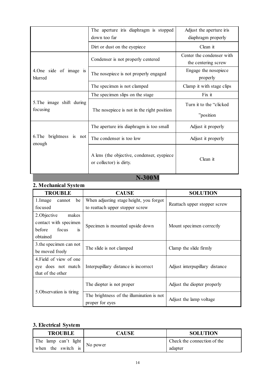|                                         | The aperture iris diaphragm is stopped<br>down too far                 | Adjust the aperture iris<br>diaphragm properly   |
|-----------------------------------------|------------------------------------------------------------------------|--------------------------------------------------|
|                                         | Dirt or dust on the eyepiece                                           | Clean it                                         |
|                                         | Condenser is not properly centered                                     | Center the condenser with<br>the centering screw |
| 4. One side of image is<br>blurred      | The nosepiece is not properly engaged                                  | Engage the nosepiece<br>properly                 |
|                                         | The specimen is not clamped                                            | Clamp it with stage clips                        |
|                                         | The specimen slips on the stage                                        | Fix it                                           |
| 5. The image shift during<br>focusing   | The nosepiece is not in the right position                             | Turn it to the "clicked"<br>"position"           |
|                                         | The aperture iris diaphragm is too small                               | Adjust it properly                               |
| brightness<br>6.The<br>is not<br>enough | The condenser is too low                                               | Adjust it properly                               |
|                                         | A lens (the objective, condenser, eyepiece)<br>or collector) is dirty. | Clean it                                         |

### **N-300M**

### **2. Mechanical System**

| <b>TROUBLE</b>               | <b>CAUSE</b>                              | <b>SOLUTION</b>                |  |
|------------------------------|-------------------------------------------|--------------------------------|--|
| be<br>1. Image<br>cannot     | When adjusting stage height, you forgot   |                                |  |
| focused                      | to reattach upper stopper screw           | Reattach upper stopper screw   |  |
| 2. Objective<br>makes        |                                           |                                |  |
| contact with specimen        |                                           |                                |  |
| focus<br>before<br><i>is</i> | Specimen is mounted upside down           | Mount specimen correctly       |  |
| obtained                     |                                           |                                |  |
| 3. the specimen can not      |                                           |                                |  |
| be moved freely              | The slide is not clamped                  | Clamp the slide firmly         |  |
| 4. Field of view of one      |                                           |                                |  |
| eye does not match           | Interpupillary distance is incorrect      | Adjust interpupillary distance |  |
| that of the other            |                                           |                                |  |
|                              |                                           | Adjust the diopter properly    |  |
|                              | The diopter is not proper                 |                                |  |
| 5. Observation is tiring     | The brightness of the illumination is not |                                |  |
|                              | proper for eyes                           | Adjust the lamp voltage        |  |

#### **3. Electrical System**

| <b>TROUBLE</b>       | <b>CAUSE</b> | <b>SOLUTION</b>             |
|----------------------|--------------|-----------------------------|
| The lamp can't light |              | Check the connection of the |
| when the switch is   | No power     | adapter                     |